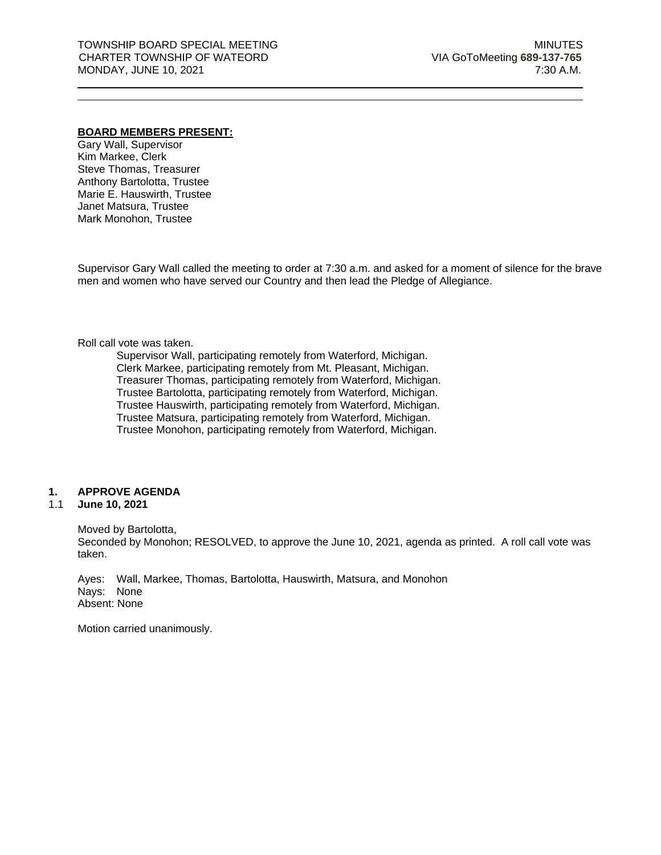#### **BOARD MEMBERS PRESENT:**

Gary Wall, Supervisor Kim Markee, Clerk Steve Thomas, Treasurer Anthony Bartolotta, Trustee Marie E. Hauswirth, Trustee Janet Matsura, Trustee Mark Monohon, Trustee

Supervisor Gary Wall called the meeting to order at 7:30 a.m. and asked for a moment of silence for the brave men and women who have served our Country and then lead the Pledge of Allegiance.

#### Roll call vote was taken.

Supervisor Wall, participating remotely from Waterford, Michigan. Clerk Markee, participating remotely from Mt. Pleasant, Michigan. Treasurer Thomas, participating remotely from Waterford, Michigan. Trustee Bartolotta, participating remotely from Waterford, Michigan. Trustee Hauswirth, participating remotely from Waterford, Michigan. Trustee Matsura, participating remotely from Waterford, Michigan. Trustee Monohon, participating remotely from Waterford, Michigan.

#### **1. APPROVE AGENDA**

#### 1.1 **June 10, 2021**

Moved by Bartolotta,

Seconded by Monohon; RESOLVED, to approve the June 10, 2021, agenda as printed. A roll call vote was taken.

Ayes: Wall, Markee, Thomas, Bartolotta, Hauswirth, Matsura, and Monohon Nays: None Absent: None

Motion carried unanimously.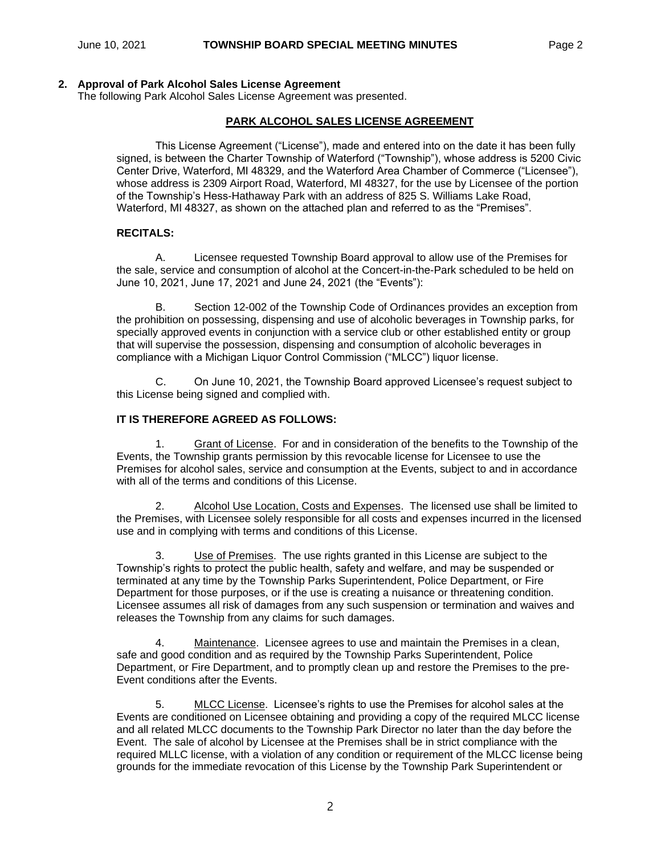### **2. Approval of Park Alcohol Sales License Agreement**

The following Park Alcohol Sales License Agreement was presented.

## **PARK ALCOHOL SALES LICENSE AGREEMENT**

This License Agreement ("License"), made and entered into on the date it has been fully signed, is between the Charter Township of Waterford ("Township"), whose address is 5200 Civic Center Drive, Waterford, MI 48329, and the Waterford Area Chamber of Commerce ("Licensee"), whose address is 2309 Airport Road, Waterford, MI 48327, for the use by Licensee of the portion of the Township's Hess-Hathaway Park with an address of 825 S. Williams Lake Road, Waterford, MI 48327, as shown on the attached plan and referred to as the "Premises".

### **RECITALS:**

A. Licensee requested Township Board approval to allow use of the Premises for the sale, service and consumption of alcohol at the Concert-in-the-Park scheduled to be held on June 10, 2021, June 17, 2021 and June 24, 2021 (the "Events"):

B. Section 12-002 of the Township Code of Ordinances provides an exception from the prohibition on possessing, dispensing and use of alcoholic beverages in Township parks, for specially approved events in conjunction with a service club or other established entity or group that will supervise the possession, dispensing and consumption of alcoholic beverages in compliance with a Michigan Liquor Control Commission ("MLCC") liquor license.

C. On June 10, 2021, the Township Board approved Licensee's request subject to this License being signed and complied with.

### **IT IS THEREFORE AGREED AS FOLLOWS:**

1. Grant of License. For and in consideration of the benefits to the Township of the Events, the Township grants permission by this revocable license for Licensee to use the Premises for alcohol sales, service and consumption at the Events, subject to and in accordance with all of the terms and conditions of this License.

2. Alcohol Use Location, Costs and Expenses. The licensed use shall be limited to the Premises, with Licensee solely responsible for all costs and expenses incurred in the licensed use and in complying with terms and conditions of this License.

3. Use of Premises. The use rights granted in this License are subject to the Township's rights to protect the public health, safety and welfare, and may be suspended or terminated at any time by the Township Parks Superintendent, Police Department, or Fire Department for those purposes, or if the use is creating a nuisance or threatening condition. Licensee assumes all risk of damages from any such suspension or termination and waives and releases the Township from any claims for such damages.

4. Maintenance. Licensee agrees to use and maintain the Premises in a clean, safe and good condition and as required by the Township Parks Superintendent, Police Department, or Fire Department, and to promptly clean up and restore the Premises to the pre-Event conditions after the Events.

5. MLCC License. Licensee's rights to use the Premises for alcohol sales at the Events are conditioned on Licensee obtaining and providing a copy of the required MLCC license and all related MLCC documents to the Township Park Director no later than the day before the Event. The sale of alcohol by Licensee at the Premises shall be in strict compliance with the required MLLC license, with a violation of any condition or requirement of the MLCC license being grounds for the immediate revocation of this License by the Township Park Superintendent or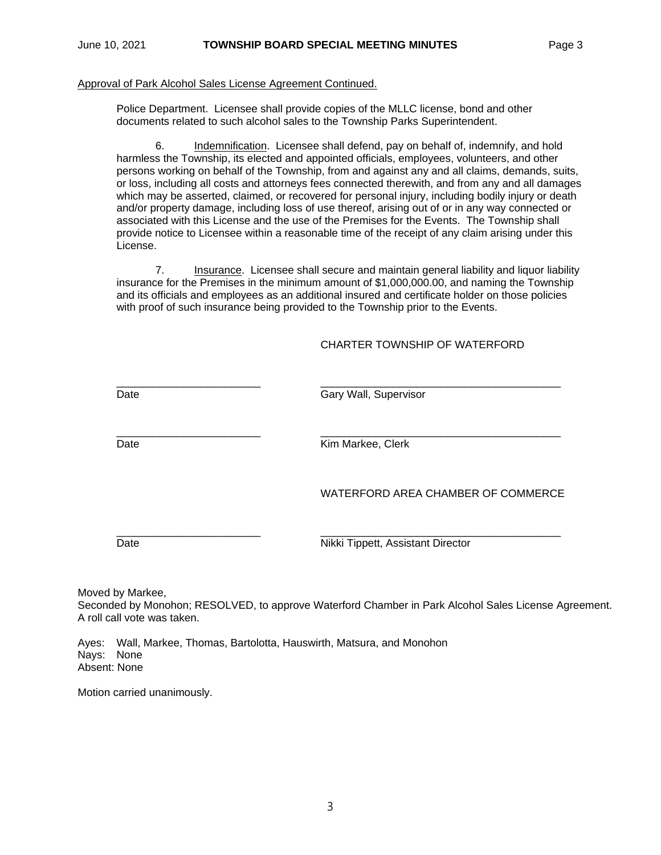#### Approval of Park Alcohol Sales License Agreement Continued.

Police Department. Licensee shall provide copies of the MLLC license, bond and other documents related to such alcohol sales to the Township Parks Superintendent.

6. Indemnification. Licensee shall defend, pay on behalf of, indemnify, and hold harmless the Township, its elected and appointed officials, employees, volunteers, and other persons working on behalf of the Township, from and against any and all claims, demands, suits, or loss, including all costs and attorneys fees connected therewith, and from any and all damages which may be asserted, claimed, or recovered for personal injury, including bodily injury or death and/or property damage, including loss of use thereof, arising out of or in any way connected or associated with this License and the use of the Premises for the Events. The Township shall provide notice to Licensee within a reasonable time of the receipt of any claim arising under this License.

7. Insurance. Licensee shall secure and maintain general liability and liquor liability insurance for the Premises in the minimum amount of \$1,000,000.00, and naming the Township and its officials and employees as an additional insured and certificate holder on those policies with proof of such insurance being provided to the Township prior to the Events.

### CHARTER TOWNSHIP OF WATERFORD

\_\_\_\_\_\_\_\_\_\_\_\_\_\_\_\_\_\_\_\_\_\_\_\_ \_\_\_\_\_\_\_\_\_\_\_\_\_\_\_\_\_\_\_\_\_\_\_\_\_\_\_\_\_\_\_\_\_\_\_\_\_\_\_\_ Date **Gary Wall**, Supervisor

 $\Box$ 

Date **Date Clerk Clerk Clerk Kim Markee, Clerk** 

WATERFORD AREA CHAMBER OF COMMERCE

\_\_\_\_\_\_\_\_\_\_\_\_\_\_\_\_\_\_\_\_\_\_\_\_ \_\_\_\_\_\_\_\_\_\_\_\_\_\_\_\_\_\_\_\_\_\_\_\_\_\_\_\_\_\_\_\_\_\_\_\_\_\_\_\_

Date **Nikki** Tippett, Assistant Director

Moved by Markee,

Seconded by Monohon; RESOLVED, to approve Waterford Chamber in Park Alcohol Sales License Agreement. A roll call vote was taken.

Ayes: Wall, Markee, Thomas, Bartolotta, Hauswirth, Matsura, and Monohon Nays: None Absent: None

Motion carried unanimously.